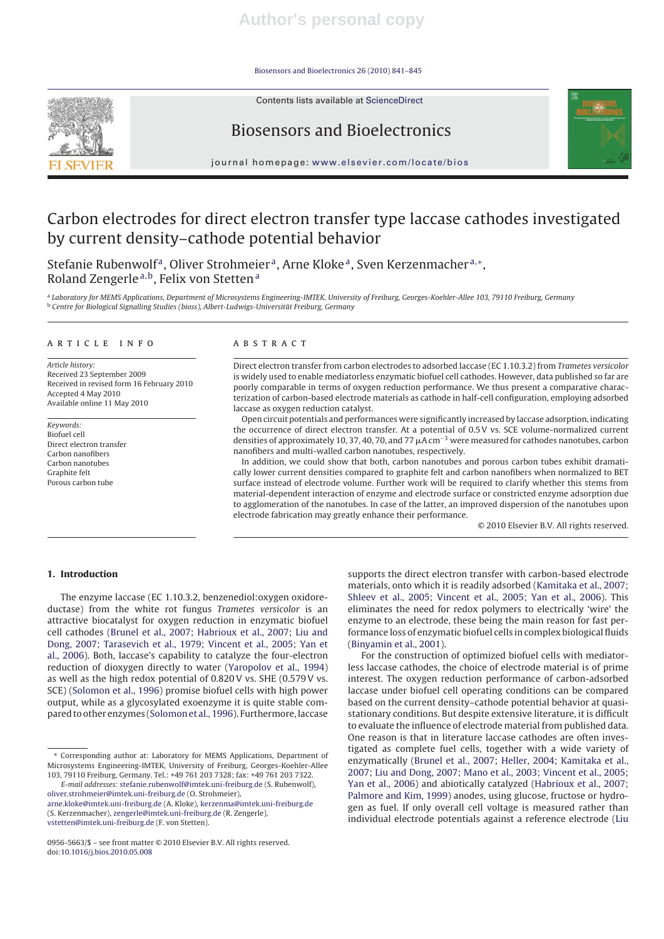Biosensors and Bioelectronics 26 (2010) 841–845

Contents lists available at ScienceDirect



# Biosensors and Bioelectronics

journal homepage: www.elsevier.com/locate/bios

# Carbon electrodes for direct electron transfer type laccase cathodes investigated by current density–cathode potential behavior

Stefanie Rubenwolf<sup>a</sup>, Oliver Strohmeier<sup>a</sup>, Arne Kloke<sup>a</sup>, Sven Kerzenmacher<sup>a,∗</sup>, Roland Zengerle<sup>a,b</sup>, Felix von Stetten<sup>a</sup>

a Laboratory for MEMS Applications, Department of Microsystems Engineering-IMTEK, University of Freiburg, Georges-Koehler-Allee 103, 79110 Freiburg, Germany <sup>b</sup> Centre for Biological Signalling Studies (bioss), Albert-Ludwigs-Universität Freiburg, Germany

#### article info

Article history: Received 23 September 2009 Received in revised form 16 February 2010 Accepted 4 May 2010 Available online 11 May 2010

Keywords: Biofuel cell Direct electron transfer Carbon nanofibers Carbon nanotubes Graphite felt Porous carbon tube

#### **ABSTRACT**

Direct electron transfer from carbon electrodes to adsorbed laccase (EC 1.10.3.2) from Trametes versicolor is widely used to enable mediatorless enzymatic biofuel cell cathodes. However, data published so far are poorly comparable in terms of oxygen reduction performance. We thus present a comparative characterization of carbon-based electrode materials as cathode in half-cell configuration, employing adsorbed laccase as oxygen reduction catalyst.

Open circuit potentials and performances were significantly increased by laccase adsorption, indicating the occurrence of direct electron transfer. At a potential of 0.5 V vs. SCE volume-normalized current densities of approximately 10, 37, 40, 70, and 77  $\mu$ A cm<sup>-3</sup> were measured for cathodes nanotubes, carbon nanofibers and multi-walled carbon nanotubes, respectively.

In addition, we could show that both, carbon nanotubes and porous carbon tubes exhibit dramatically lower current densities compared to graphite felt and carbon nanofibers when normalized to BET surface instead of electrode volume. Further work will be required to clarify whether this stems from material-dependent interaction of enzyme and electrode surface or constricted enzyme adsorption due to agglomeration of the nanotubes. In case of the latter, an improved dispersion of the nanotubes upon electrode fabrication may greatly enhance their performance.

© 2010 Elsevier B.V. All rights reserved.

## **1. Introduction**

The enzyme laccase (EC 1.10.3.2, benzenediol:oxygen oxidoreductase) from the white rot fungus Trametes versicolor is an attractive biocatalyst for oxygen reduction in enzymatic biofuel cell cathodes (Brunel et al., 2007; Habrioux et al., 2007; Liu and Dong, 2007; Tarasevich et al., 1979; Vincent et al., 2005; Yan et al., 2006). Both, laccase's capability to catalyze the four-electron reduction of dioxygen directly to water (Yaropolov et al., 1994) as well as the high redox potential of 0.820 V vs. SHE (0.579 V vs. SCE) (Solomon et al., 1996) promise biofuel cells with high power output, while as a glycosylated exoenzyme it is quite stable compared to other enzymes (Solomon et al., 1996). Furthermore, laccase

(S. Kerzenmacher), zengerle@imtek.uni-freiburg.de (R. Zengerle), vstetten@imtek.uni-freiburg.de (F. von Stetten).

supports the direct electron transfer with carbon-based electrode materials, onto which it is readily adsorbed (Kamitaka et al., 2007; Shleev et al., 2005; Vincent et al., 2005; Yan et al., 2006). This eliminates the need for redox polymers to electrically 'wire' the enzyme to an electrode, these being the main reason for fast performance loss of enzymatic biofuel cells in complex biological fluids (Binyamin et al., 2001).

For the construction of optimized biofuel cells with mediatorless laccase cathodes, the choice of electrode material is of prime interest. The oxygen reduction performance of carbon-adsorbed laccase under biofuel cell operating conditions can be compared based on the current density–cathode potential behavior at quasistationary conditions. But despite extensive literature, it is difficult to evaluate the influence of electrode material from published data. One reason is that in literature laccase cathodes are often investigated as complete fuel cells, together with a wide variety of enzymatically (Brunel et al., 2007; Heller, 2004; Kamitaka et al., 2007; Liu and Dong, 2007; Mano et al., 2003; Vincent et al., 2005; Yan et al., 2006) and abiotically catalyzed (Habrioux et al., 2007; Palmore and Kim, 1999) anodes, using glucose, fructose or hydrogen as fuel. If only overall cell voltage is measured rather than individual electrode potentials against a reference electrode (Liu

<sup>∗</sup> Corresponding author at: Laboratory for MEMS Applications, Department of Microsystems Engineering-IMTEK, University of Freiburg, Georges-Koehler-Allee 103, 79110 Freiburg, Germany. Tel.: +49 761 203 7328; fax: +49 761 203 7322.

E-mail addresses: stefanie.rubenwolf@imtek.uni-freiburg.de (S. Rubenwolf), oliver.strohmeier@imtek.uni-freiburg.de (O. Strohmeier), arne.kloke@imtek.uni-freiburg.de (A. Kloke), kerzenma@imtek.uni-freiburg.de

<sup>0956-5663/\$ –</sup> see front matter © 2010 Elsevier B.V. All rights reserved. doi:10.1016/j.bios.2010.05.008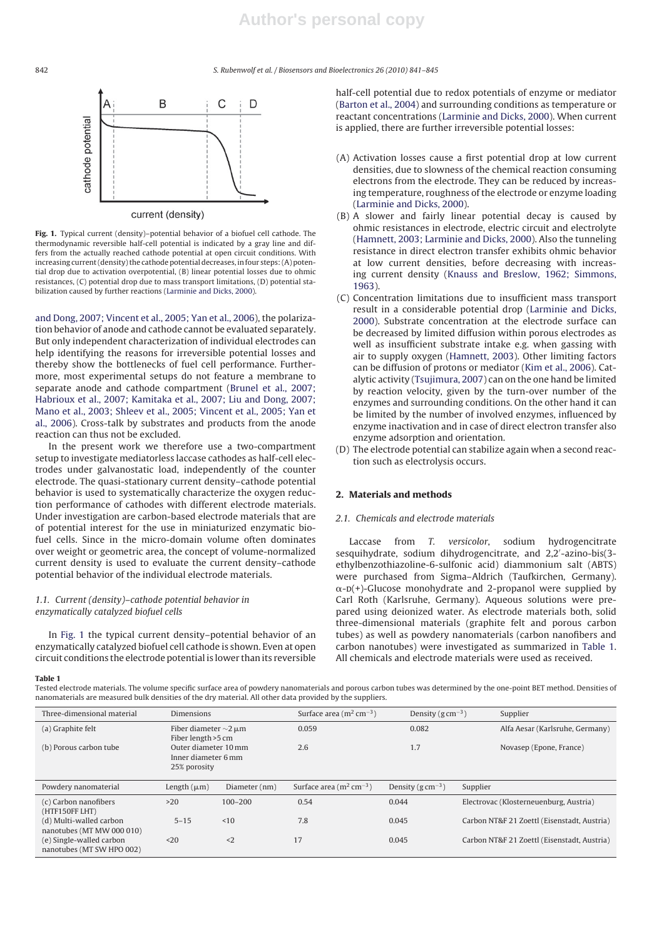842 S. Rubenwolf et al. / Biosensors and Bioelectronics *26 (2010) 841–845*



**Fig. 1.** Typical current (density)–potential behavior of a biofuel cell cathode. The thermodynamic reversible half-cell potential is indicated by a gray line and differs from the actually reached cathode potential at open circuit conditions. With increasing current (density) the cathode potential decreases, in four steps: (A) potential drop due to activation overpotential, (B) linear potential losses due to ohmic resistances, (C) potential drop due to mass transport limitations, (D) potential stabilization caused by further reactions (Larminie and Dicks, 2000).

and Dong, 2007; Vincent et al., 2005; Yan et al., 2006), the polarization behavior of anode and cathode cannot be evaluated separately. But only independent characterization of individual electrodes can help identifying the reasons for irreversible potential losses and thereby show the bottlenecks of fuel cell performance. Furthermore, most experimental setups do not feature a membrane to separate anode and cathode compartment (Brunel et al., 2007; Habrioux et al., 2007; Kamitaka et al., 2007; Liu and Dong, 2007; Mano et al., 2003; Shleev et al., 2005; Vincent et al., 2005; Yan et al., 2006). Cross-talk by substrates and products from the anode reaction can thus not be excluded.

In the present work we therefore use a two-compartment setup to investigate mediatorless laccase cathodes as half-cell electrodes under galvanostatic load, independently of the counter electrode. The quasi-stationary current density–cathode potential behavior is used to systematically characterize the oxygen reduction performance of cathodes with different electrode materials. Under investigation are carbon-based electrode materials that are of potential interest for the use in miniaturized enzymatic biofuel cells. Since in the micro-domain volume often dominates over weight or geometric area, the concept of volume-normalized current density is used to evaluate the current density–cathode potential behavior of the individual electrode materials.

## 1.1. Current (density)–cathode potential behavior in enzymatically catalyzed biofuel cells

In Fig. 1 the typical current density–potential behavior of an enzymatically catalyzed biofuel cell cathode is shown. Even at open circuit conditions the electrode potential is lower than its reversible half-cell potential due to redox potentials of enzyme or mediator (Barton et al., 2004) and surrounding conditions as temperature or reactant concentrations (Larminie and Dicks, 2000). When current is applied, there are further irreversible potential losses:

- (A) Activation losses cause a first potential drop at low current densities, due to slowness of the chemical reaction consuming electrons from the electrode. They can be reduced by increasing temperature, roughness of the electrode or enzyme loading (Larminie and Dicks, 2000).
- (B) A slower and fairly linear potential decay is caused by ohmic resistances in electrode, electric circuit and electrolyte (Hamnett, 2003; Larminie and Dicks, 2000). Also the tunneling resistance in direct electron transfer exhibits ohmic behavior at low current densities, before decreasing with increasing current density (Knauss and Breslow, 1962; Simmons, 1963).
- (C) Concentration limitations due to insufficient mass transport result in a considerable potential drop (Larminie and Dicks, 2000). Substrate concentration at the electrode surface can be decreased by limited diffusion within porous electrodes as well as insufficient substrate intake e.g. when gassing with air to supply oxygen (Hamnett, 2003). Other limiting factors can be diffusion of protons or mediator (Kim et al., 2006). Catalytic activity (Tsujimura, 2007) can on the one hand be limited by reaction velocity, given by the turn-over number of the enzymes and surrounding conditions. On the other hand it can be limited by the number of involved enzymes, influenced by enzyme inactivation and in case of direct electron transfer also enzyme adsorption and orientation.
- (D) The electrode potential can stabilize again when a second reaction such as electrolysis occurs.

# **2. Materials and methods**

## 2.1. Chemicals and electrode materials

Laccase from T. versicolor, sodium hydrogencitrate sesquihydrate, sodium dihydrogencitrate, and 2,2 -azino-bis(3 ethylbenzothiazoline-6-sulfonic acid) diammonium salt (ABTS) were purchased from Sigma–Aldrich (Taufkirchen, Germany).  $\alpha$ -D(+)-Glucose monohydrate and 2-propanol were supplied by Carl Roth (Karlsruhe, Germany). Aqueous solutions were prepared using deionized water. As electrode materials both, solid three-dimensional materials (graphite felt and porous carbon tubes) as well as powdery nanomaterials (carbon nanofibers and carbon nanotubes) were investigated as summarized in Table 1. All chemicals and electrode materials were used as received.

**Table 1**

Tested electrode materials. The volume specific surface area of powdery nanomaterials and porous carbon tubes was determined by the one-point BET method. Densities of nanomaterials are measured bulk densities of the dry material. All other data provided by the suppliers.

| Three-dimensional material                            | <b>Dimensions</b>                                                                  |               | Surface area $(m^2 cm^{-3})$ | Density ( $g \text{ cm}^{-3}$ ) |          | Supplier                                    |
|-------------------------------------------------------|------------------------------------------------------------------------------------|---------------|------------------------------|---------------------------------|----------|---------------------------------------------|
| (a) Graphite felt                                     | Fiber diameter $\sim$ 2 µm                                                         |               | 0.059                        | 0.082                           |          | Alfa Aesar (Karlsruhe, Germany)             |
| (b) Porous carbon tube                                | Fiber length > 5 cm<br>Outer diameter 10 mm<br>Inner diameter 6 mm<br>25% porosity |               | 2.6                          | 1.7                             |          | Novasep (Epone, France)                     |
| Powdery nanomaterial                                  | Length $(\mu m)$                                                                   | Diameter (nm) | Surface area $(m^2 cm^{-3})$ | Density ( $g \text{ cm}^{-3}$ ) | Supplier |                                             |
| (c) Carbon nanofibers<br>(HTF150FF LHT)               | >20                                                                                | $100 - 200$   | 0.54                         | 0.044                           |          | Electrovac (Klosterneuenburg, Austria)      |
| (d) Multi-walled carbon<br>nanotubes (MT MW 000 010)  | $5 - 15$                                                                           | ~10           | 7.8                          | 0.045                           |          | Carbon NT&F 21 Zoettl (Eisenstadt, Austria) |
| (e) Single-walled carbon<br>nanotubes (MT SW HPO 002) | $20$                                                                               | $2$           | 17                           | 0.045                           |          | Carbon NT&F 21 Zoettl (Eisenstadt, Austria) |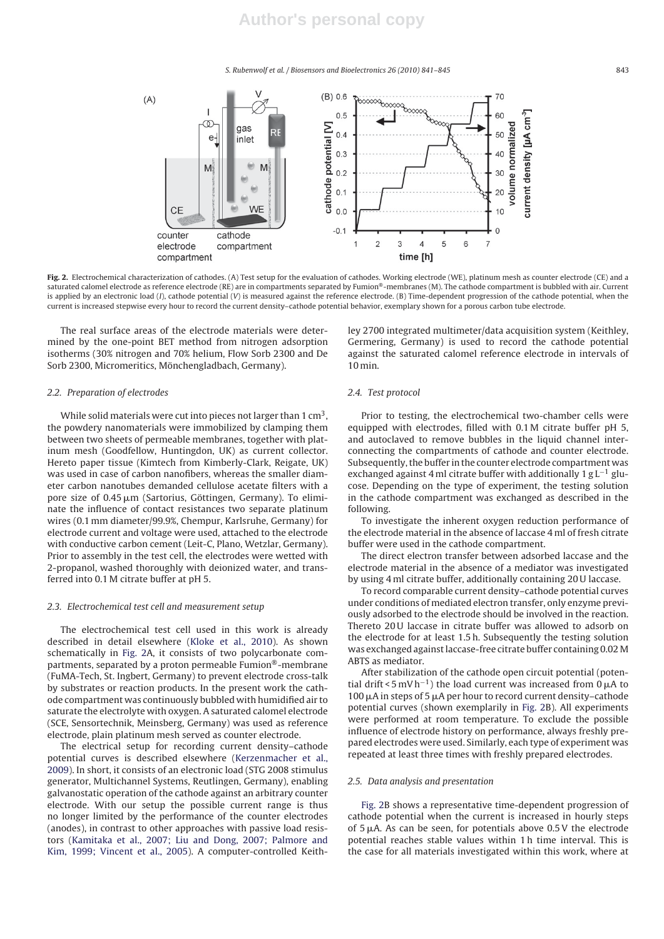S. Rubenwolf et al. / Biosensors and Bioelectronics *26 (2010) 841–845* 843



**Fig. 2.** Electrochemical characterization of cathodes. (A) Test setup for the evaluation of cathodes. Working electrode (WE), platinum mesh as counter electrode (CE) and a saturated calomel electrode as reference electrode (RE) are in compartments separated by Fumion®-membranes (M). The cathode compartment is bubbled with air. Current is applied by an electronic load (I), cathode potential (V) is measured against the reference electrode. (B) Time-dependent progression of the cathode potential, when the current is increased stepwise every hour to record the current density–cathode potential behavior, exemplary shown for a porous carbon tube electrode.

The real surface areas of the electrode materials were determined by the one-point BET method from nitrogen adsorption isotherms (30% nitrogen and 70% helium, Flow Sorb 2300 and De Sorb 2300, Micromeritics, Mönchengladbach, Germany).

#### 2.2. Preparation of electrodes

While solid materials were cut into pieces not larger than  $1 \text{ cm}^3$ , the powdery nanomaterials were immobilized by clamping them between two sheets of permeable membranes, together with platinum mesh (Goodfellow, Huntingdon, UK) as current collector. Hereto paper tissue (Kimtech from Kimberly-Clark, Reigate, UK) was used in case of carbon nanofibers, whereas the smaller diameter carbon nanotubes demanded cellulose acetate filters with a pore size of 0.45 µm (Sartorius, Göttingen, Germany). To eliminate the influence of contact resistances two separate platinum wires (0.1 mm diameter/99.9%, Chempur, Karlsruhe, Germany) for electrode current and voltage were used, attached to the electrode with conductive carbon cement (Leit-C, Plano, Wetzlar, Germany). Prior to assembly in the test cell, the electrodes were wetted with 2-propanol, washed thoroughly with deionized water, and transferred into 0.1 M citrate buffer at pH 5.

#### 2.3. Electrochemical test cell and measurement setup

The electrochemical test cell used in this work is already described in detail elsewhere (Kloke et al., 2010). As shown schematically in Fig. 2A, it consists of two polycarbonate compartments, separated by a proton permeable Fumion®-membrane (FuMA-Tech, St. Ingbert, Germany) to prevent electrode cross-talk by substrates or reaction products. In the present work the cathode compartment was continuously bubbled with humidified air to saturate the electrolyte with oxygen. A saturated calomel electrode (SCE, Sensortechnik, Meinsberg, Germany) was used as reference electrode, plain platinum mesh served as counter electrode.

The electrical setup for recording current density–cathode potential curves is described elsewhere (Kerzenmacher et al., 2009). In short, it consists of an electronic load (STG 2008 stimulus generator, Multichannel Systems, Reutlingen, Germany), enabling galvanostatic operation of the cathode against an arbitrary counter electrode. With our setup the possible current range is thus no longer limited by the performance of the counter electrodes (anodes), in contrast to other approaches with passive load resistors (Kamitaka et al., 2007; Liu and Dong, 2007; Palmore and Kim, 1999; Vincent et al., 2005). A computer-controlled Keithley 2700 integrated multimeter/data acquisition system (Keithley, Germering, Germany) is used to record the cathode potential against the saturated calomel reference electrode in intervals of 10 min.

#### 2.4. Test protocol

Prior to testing, the electrochemical two-chamber cells were equipped with electrodes, filled with 0.1 M citrate buffer pH 5, and autoclaved to remove bubbles in the liquid channel interconnecting the compartments of cathode and counter electrode. Subsequently, the buffer in the counter electrode compartment was exchanged against 4 ml citrate buffer with additionally 1 g L−<sup>1</sup> glucose. Depending on the type of experiment, the testing solution in the cathode compartment was exchanged as described in the following.

To investigate the inherent oxygen reduction performance of the electrode material in the absence of laccase 4 ml of fresh citrate buffer were used in the cathode compartment.

The direct electron transfer between adsorbed laccase and the electrode material in the absence of a mediator was investigated by using 4 ml citrate buffer, additionally containing 20 U laccase.

To record comparable current density–cathode potential curves under conditions of mediated electron transfer, only enzyme previously adsorbed to the electrode should be involved in the reaction. Thereto 20U laccase in citrate buffer was allowed to adsorb on the electrode for at least 1.5 h. Subsequently the testing solution was exchanged against laccase-free citrate buffer containing 0.02 M ABTS as mediator.

After stabilization of the cathode open circuit potential (potential drift < 5 mV h<sup>-1</sup>) the load current was increased from 0  $\mu$ A to 100  $\mu$ A in steps of 5  $\mu$ A per hour to record current density–cathode potential curves (shown exemplarily in Fig. 2B). All experiments were performed at room temperature. To exclude the possible influence of electrode history on performance, always freshly prepared electrodes were used. Similarly, each type of experiment was repeated at least three times with freshly prepared electrodes.

#### 2.5. Data analysis and presentation

Fig. 2B shows a representative time-dependent progression of cathode potential when the current is increased in hourly steps of  $5 \mu A$ . As can be seen, for potentials above  $0.5 V$  the electrode potential reaches stable values within 1 h time interval. This is the case for all materials investigated within this work, where at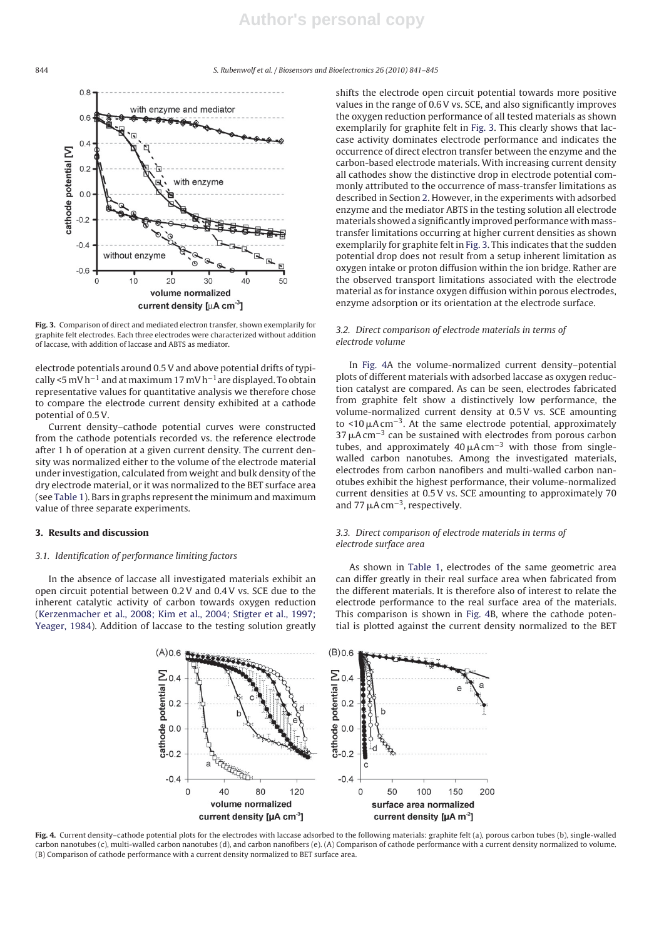844 S. Rubenwolf et al. / Biosensors and Bioelectronics *26 (2010) 841–845*



**Fig. 3.** Comparison of direct and mediated electron transfer, shown exemplarily for graphite felt electrodes. Each three electrodes were characterized without addition of laccase, with addition of laccase and ABTS as mediator.

electrode potentials around 0.5 V and above potential drifts of typically <5 mV h<sup>-1</sup> and at maximum 17 mV h<sup>-1</sup> are displayed. To obtain representative values for quantitative analysis we therefore chose to compare the electrode current density exhibited at a cathode potential of 0.5 V.

Current density–cathode potential curves were constructed from the cathode potentials recorded vs. the reference electrode after 1 h of operation at a given current density. The current density was normalized either to the volume of the electrode material under investigation, calculated from weight and bulk density of the dry electrode material, or it was normalized to the BET surface area (see Table 1). Bars in graphs represent the minimum and maximum value of three separate experiments.

## **3. Results and discussion**

#### 3.1. Identification of performance limiting factors

In the absence of laccase all investigated materials exhibit an open circuit potential between 0.2 V and 0.4 V vs. SCE due to the inherent catalytic activity of carbon towards oxygen reduction (Kerzenmacher et al., 2008; Kim et al., 2004; Stigter et al., 1997; Yeager, 1984). Addition of laccase to the testing solution greatly

shifts the electrode open circuit potential towards more positive values in the range of 0.6 V vs. SCE, and also significantly improves the oxygen reduction performance of all tested materials as shown exemplarily for graphite felt in Fig. 3. This clearly shows that laccase activity dominates electrode performance and indicates the occurrence of direct electron transfer between the enzyme and the carbon-based electrode materials. With increasing current density all cathodes show the distinctive drop in electrode potential commonly attributed to the occurrence of mass-transfer limitations as described in Section 2. However, in the experiments with adsorbed enzyme and the mediator ABTS in the testing solution all electrode materials showed a significantly improved performance withmasstransfer limitations occurring at higher current densities as shown exemplarily for graphite felt in Fig. 3. This indicates that the sudden potential drop does not result from a setup inherent limitation as oxygen intake or proton diffusion within the ion bridge. Rather are the observed transport limitations associated with the electrode material as for instance oxygen diffusion within porous electrodes, enzyme adsorption or its orientation at the electrode surface.

## 3.2. Direct comparison of electrode materials in terms of electrode volume

In Fig. 4A the volume-normalized current density–potential plots of different materials with adsorbed laccase as oxygen reduction catalyst are compared. As can be seen, electrodes fabricated from graphite felt show a distinctively low performance, the volume-normalized current density at 0.5 V vs. SCE amounting to <10  $\mu$ A cm<sup>-3</sup>. At the same electrode potential, approximately 37  $\mu$ A cm<sup>-3</sup> can be sustained with electrodes from porous carbon tubes, and approximately  $40 \mu A \text{ cm}^{-3}$  with those from singlewalled carbon nanotubes. Among the investigated materials, electrodes from carbon nanofibers and multi-walled carbon nanotubes exhibit the highest performance, their volume-normalized current densities at 0.5 V vs. SCE amounting to approximately 70 and 77  $\mu$ A cm<sup>-3</sup>, respectively.

## 3.3. Direct comparison of electrode materials in terms of electrode surface area

As shown in Table 1, electrodes of the same geometric area can differ greatly in their real surface area when fabricated from the different materials. It is therefore also of interest to relate the electrode performance to the real surface area of the materials. This comparison is shown in Fig. 4B, where the cathode potential is plotted against the current density normalized to the BET



**Fig. 4.** Current density–cathode potential plots for the electrodes with laccase adsorbed to the following materials: graphite felt (a), porous carbon tubes (b), single-walled carbon nanotubes (c), multi-walled carbon nanotubes (d), and carbon nanofibers (e). (A) Comparison of cathode performance with a current density normalized to volume. (B) Comparison of cathode performance with a current density normalized to BET surface area.